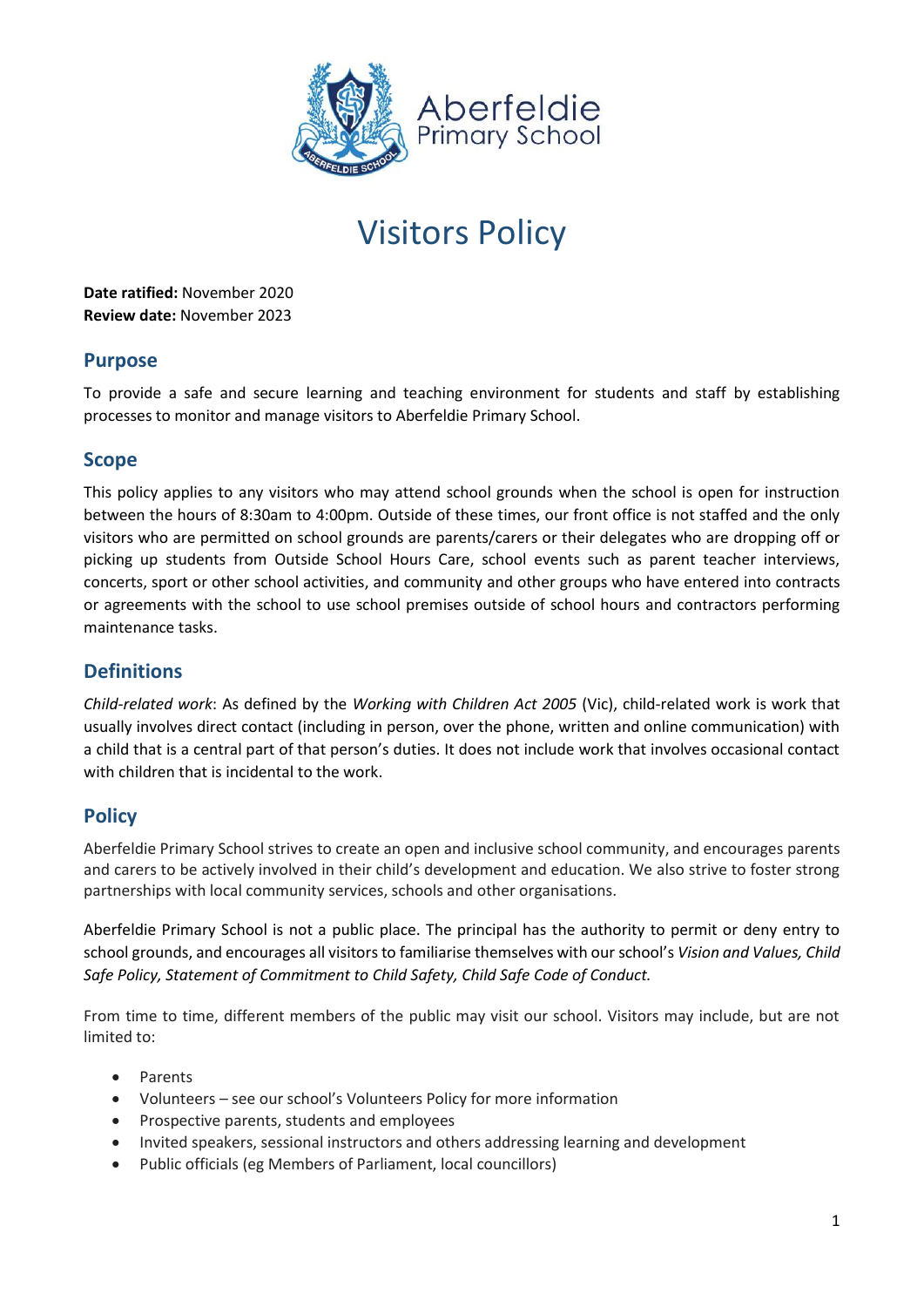

# Visitors Policy

**Date ratified:** November 2020 **Review date:** November 2023

## **Purpose**

To provide a safe and secure learning and teaching environment for students and staff by establishing processes to monitor and manage visitors to Aberfeldie Primary School.

### **Scope**

This policy applies to any visitors who may attend school grounds when the school is open for instruction between the hours of 8:30am to 4:00pm. Outside of these times, our front office is not staffed and the only visitors who are permitted on school grounds are parents/carers or their delegates who are dropping off or picking up students from Outside School Hours Care, school events such as parent teacher interviews, concerts, sport or other school activities, and community and other groups who have entered into contracts or agreements with the school to use school premises outside of school hours and contractors performing maintenance tasks.

## **Definitions**

*Child-related work*: As defined by the *Working with Children Act 2005* (Vic), child-related work is work that usually involves direct contact (including in person, over the phone, written and online communication) with a child that is a central part of that person's duties. It does not include work that involves occasional contact with children that is incidental to the work.

# **Policy**

Aberfeldie Primary School strives to create an open and inclusive school community, and encourages parents and carers to be actively involved in their child's development and education. We also strive to foster strong partnerships with local community services, schools and other organisations.

Aberfeldie Primary School is not a public place. The principal has the authority to permit or deny entry to school grounds, and encourages all visitors to familiarise themselves with our school's *Vision and Values, Child Safe Policy, Statement of Commitment to Child Safety, Child Safe Code of Conduct.* 

From time to time, different members of the public may visit our school. Visitors may include, but are not limited to:

- Parents
- Volunteers see our school's Volunteers Policy for more information
- Prospective parents, students and employees
- Invited speakers, sessional instructors and others addressing learning and development
- Public officials (eg Members of Parliament, local councillors)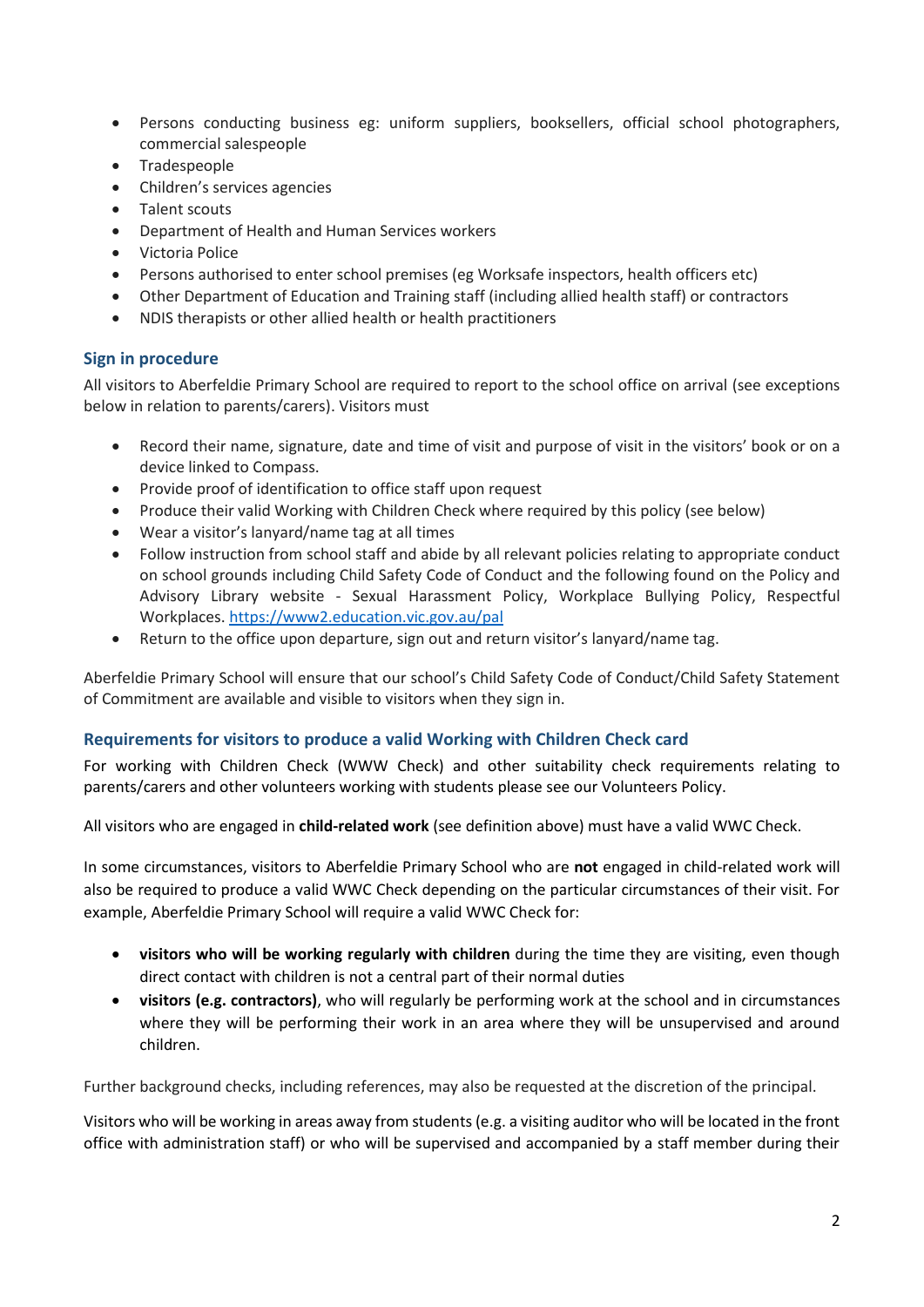- Persons conducting business eg: uniform suppliers, booksellers, official school photographers, commercial salespeople
- Tradespeople
- Children's services agencies
- Talent scouts
- Department of Health and Human Services workers
- Victoria Police
- Persons authorised to enter school premises (eg Worksafe inspectors, health officers etc)
- Other Department of Education and Training staff (including allied health staff) or contractors
- NDIS therapists or other allied health or health practitioners

#### **Sign in procedure**

All visitors to Aberfeldie Primary School are required to report to the school office on arrival (see exceptions below in relation to parents/carers). Visitors must

- Record their name, signature, date and time of visit and purpose of visit in the visitors' book or on a device linked to Compass.
- Provide proof of identification to office staff upon request
- Produce their valid Working with Children Check where required by this policy (see below)
- Wear a visitor's lanyard/name tag at all times
- Follow instruction from school staff and abide by all relevant policies relating to appropriate conduct on school grounds including Child Safety Code of Conduct and the following found on the Policy and Advisory Library website - Sexual Harassment Policy, Workplace Bullying Policy, Respectful Workplaces[. https://www2.education.vic.gov.au/pal](https://www2.education.vic.gov.au/pal)
- Return to the office upon departure, sign out and return visitor's lanyard/name tag.

Aberfeldie Primary School will ensure that our school's Child Safety Code of Conduct/Child Safety Statement of Commitment are available and visible to visitors when they sign in.

#### **Requirements for visitors to produce a valid Working with Children Check card**

For working with Children Check (WWW Check) and other suitability check requirements relating to parents/carers and other volunteers working with students please see our Volunteers Policy.

All visitors who are engaged in **child-related work** (see definition above) must have a valid WWC Check.

In some circumstances, visitors to Aberfeldie Primary School who are **not** engaged in child-related work will also be required to produce a valid WWC Check depending on the particular circumstances of their visit. For example, Aberfeldie Primary School will require a valid WWC Check for:

- **visitors who will be working regularly with children** during the time they are visiting, even though direct contact with children is not a central part of their normal duties
- **visitors (e.g. contractors)**, who will regularly be performing work at the school and in circumstances where they will be performing their work in an area where they will be unsupervised and around children.

Further background checks, including references, may also be requested at the discretion of the principal.

Visitors who will be working in areas away from students (e.g. a visiting auditor who will be located in the front office with administration staff) or who will be supervised and accompanied by a staff member during their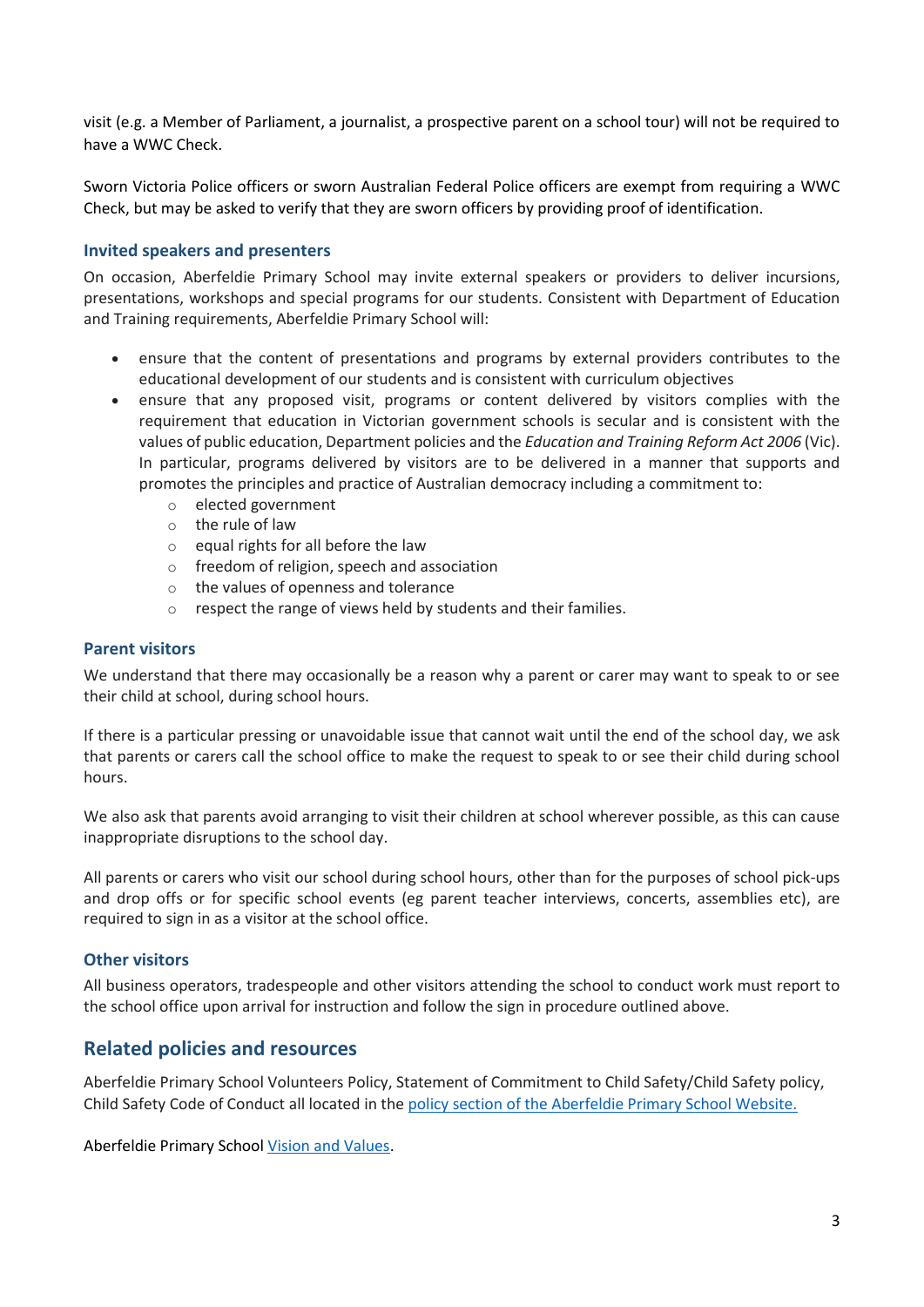visit (e.g. a Member of Parliament, a journalist, a prospective parent on a school tour) will not be required to have a WWC Check.

Sworn Victoria Police officers or sworn Australian Federal Police officers are exempt from requiring a WWC Check, but may be asked to verify that they are sworn officers by providing proof of identification.

#### **Invited speakers and presenters**

On occasion, Aberfeldie Primary School may invite external speakers or providers to deliver incursions, presentations, workshops and special programs for our students. Consistent with Department of Education and Training requirements, Aberfeldie Primary School will:

- ensure that the content of presentations and programs by external providers contributes to the educational development of our students and is consistent with curriculum objectives
- ensure that any proposed visit, programs or content delivered by visitors complies with the requirement that education in Victorian government schools is secular and is consistent with the values of public education, Department policies and the *Education and Training Reform Act 2006* (Vic). In particular, programs delivered by visitors are to be delivered in a manner that supports and promotes the principles and practice of Australian democracy including a commitment to:
	- o elected government
	- o the rule of law
	- o equal rights for all before the law
	- o freedom of religion, speech and association
	- o the values of openness and tolerance
	- o respect the range of views held by students and their families.

#### **Parent visitors**

We understand that there may occasionally be a reason why a parent or carer may want to speak to or see their child at school, during school hours.

If there is a particular pressing or unavoidable issue that cannot wait until the end of the school day, we ask that parents or carers call the school office to make the request to speak to or see their child during school hours.

We also ask that parents avoid arranging to visit their children at school wherever possible, as this can cause inappropriate disruptions to the school day.

All parents or carers who visit our school during school hours, other than for the purposes of school pick-ups and drop offs or for specific school events (eg parent teacher interviews, concerts, assemblies etc), are required to sign in as a visitor at the school office.

#### **Other visitors**

All business operators, tradespeople and other visitors attending the school to conduct work must report to the school office upon arrival for instruction and follow the sign in procedure outlined above.

#### **Related policies and resources**

Aberfeldie Primary School Volunteers Policy, Statement of Commitment to Child Safety/Child Safety policy, Child Safety Code of Conduct all located in the [policy section of the Aberfeldie Primary School Website.](http://www.aberfeldieps.vic.edu.au/about.php?id=13)

Aberfeldie Primary Schoo[l Vision and Values.](http://www.aberfeldieps.vic.edu.au/about.php?id=14)